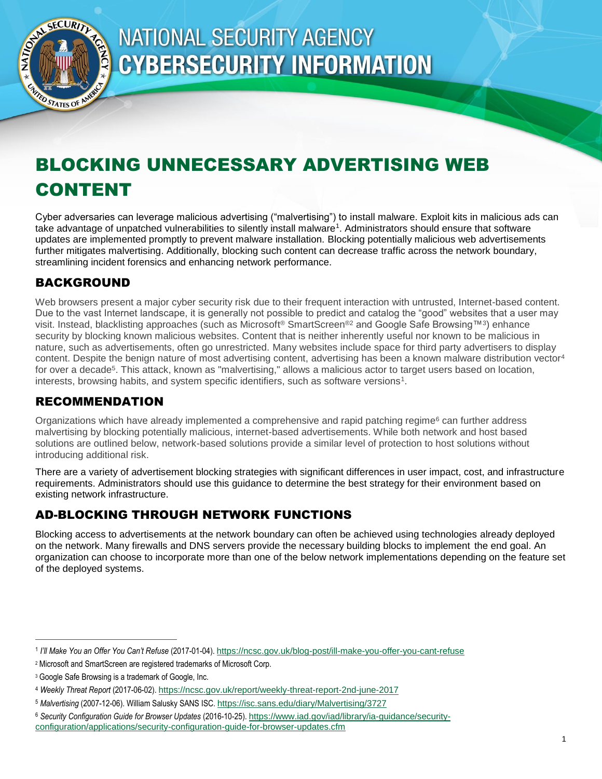

# <span id="page-0-0"></span>**NATIONAL SECURITY AGENCY CYBERSECURITY INFORMATION**

## BLOCKING UNNECESSARY ADVERTISING WEB CONTENT

Cyber adversaries can leverage malicious advertising ("malvertising") to install malware. Exploit kits in malicious ads can take advantage of unpatched vulnerabilities to silently install malware<sup>1</sup>. Administrators should ensure that software updates are implemented promptly to prevent malware installation. Blocking potentially malicious web advertisements further mitigates malvertising. Additionally, blocking such content can decrease traffic across the network boundary, streamlining incident forensics and enhancing network performance.

## BACKGROUND

Web browsers present a major cyber security risk due to their frequent interaction with untrusted, Internet-based content. Due to the vast Internet landscape, it is generally not possible to predict and catalog the "good" websites that a user may visit. Instead, blacklisting approaches (such as Microsoft® SmartScreen®<sup>2</sup> and Google Safe Browsing™3) enhance security by blocking known malicious websites. Content that is neither inherently useful nor known to be malicious in nature, such as advertisements, often go unrestricted. Many websites include space for third party advertisers to display content. Despite the benign nature of most advertising content, advertising has been a known malware distribution vector<sup>4</sup> for over a decade<sup>5</sup>. This attack, known as "malvertising," allows a malicious actor to target users based on location, interests, browsing habits, and system specific identifiers, such as software versions<sup>1</sup> [.](#page-0-0)

### RECOMMENDATION

Organizations which have already implemented a comprehensive and rapid patching regime<sup>6</sup> can further address malvertising by blocking potentially malicious, internet-based advertisements. While both network and host based solutions are outlined below, network-based solutions provide a similar level of protection to host solutions without introducing additional risk.

There are a variety of advertisement blocking strategies with significant differences in user impact, cost, and infrastructure requirements. Administrators should use this guidance to determine the best strategy for their environment based on existing network infrastructure.

## AD-BLOCKING THROUGH NETWORK FUNCTIONS

Blocking access to advertisements at the network boundary can often be achieved using technologies already deployed on the network. Many firewalls and DNS servers provide the necessary building blocks to implement the end goal. An organization can choose to incorporate more than one of the below network implementations depending on the feature set of the deployed systems.

 $\overline{a}$ 

<sup>1</sup> *I'll Make You an Offer You Can't Refuse* (2017-01-04). <https://ncsc.gov.uk/blog-post/ill-make-you-offer-you-cant-refuse>

<sup>2</sup> Microsoft and SmartScreen are registered trademarks of Microsoft Corp.

<sup>&</sup>lt;sup>3</sup> Google Safe Browsing is a trademark of Google, Inc.

<sup>4</sup> *Weekly Threat Report* (2017-06-02). <https://ncsc.gov.uk/report/weekly-threat-report-2nd-june-2017>

<sup>5</sup> *Malvertising* (2007-12-06). William Salusky SANS ISC. <https://isc.sans.edu/diary/Malvertising/3727>

<sup>6</sup> *Security Configuration Guide for Browser Updates* (2016-10-25). [https://www.iad.gov/iad/library/ia-guidance/security](https://www.iad.gov/iad/library/ia-guidance/security-configuration/applications/security-configuration-guide-for-browser-updates.cfm)[configuration/applications/security-configuration-guide-for-browser-updates.cfm](https://www.iad.gov/iad/library/ia-guidance/security-configuration/applications/security-configuration-guide-for-browser-updates.cfm)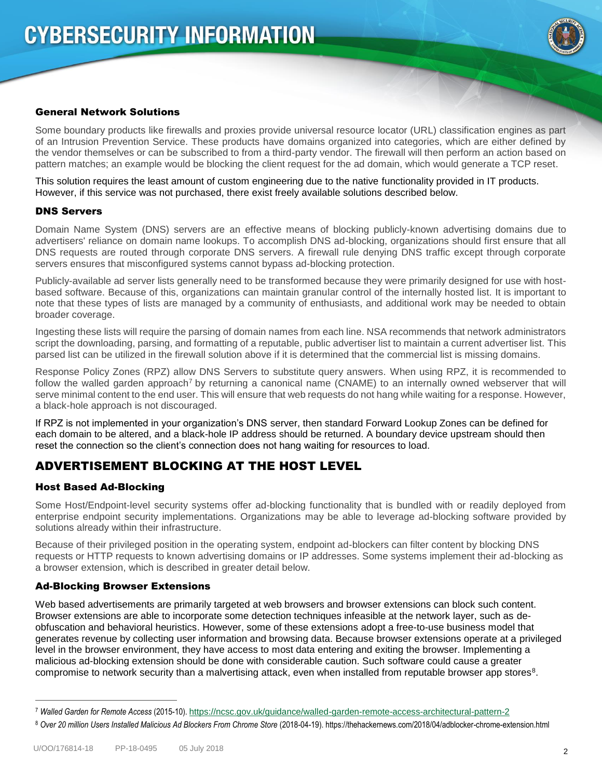

#### General Network Solutions

Some boundary products like firewalls and proxies provide universal resource locator (URL) classification engines as part of an Intrusion Prevention Service. These products have domains organized into categories, which are either defined by the vendor themselves or can be subscribed to from a third-party vendor. The firewall will then perform an action based on pattern matches; an example would be blocking the client request for the ad domain, which would generate a TCP reset.

This solution requires the least amount of custom engineering due to the native functionality provided in IT products. However, if this service was not purchased, there exist freely available solutions described below.

#### DNS Servers

Domain Name System (DNS) servers are an effective means of blocking publicly-known advertising domains due to advertisers' reliance on domain name lookups. To accomplish DNS ad-blocking, organizations should first ensure that all DNS requests are routed through corporate DNS servers. A firewall rule denying DNS traffic except through corporate servers ensures that misconfigured systems cannot bypass ad-blocking protection.

Publicly-available ad server lists generally need to be transformed because they were primarily designed for use with hostbased software. Because of this, organizations can maintain granular control of the internally hosted list. It is important to note that these types of lists are managed by a community of enthusiasts, and additional work may be needed to obtain broader coverage.

Ingesting these lists will require the parsing of domain names from each line. NSA recommends that network administrators script the downloading, parsing, and formatting of a reputable, public advertiser list to maintain a current advertiser list. This parsed list can be utilized in the firewall solution above if it is determined that the commercial list is missing domains.

Response Policy Zones (RPZ) allow DNS Servers to substitute query answers. When using RPZ, it is recommended to follow the walled garden approach<sup>7</sup> by returning a canonical name (CNAME) to an internally owned webserver that will serve minimal content to the end user. This will ensure that web requests do not hang while waiting for a response. However, a black-hole approach is not discouraged.

If RPZ is not implemented in your organization's DNS server, then standard Forward Lookup Zones can be defined for each domain to be altered, and a black-hole IP address should be returned. A boundary device upstream should then reset the connection so the client's connection does not hang waiting for resources to load.

#### ADVERTISEMENT BLOCKING AT THE HOST LEVEL

#### Host Based Ad-Blocking

Some Host/Endpoint-level security systems offer ad-blocking functionality that is bundled with or readily deployed from enterprise endpoint security implementations. Organizations may be able to leverage ad-blocking software provided by solutions already within their infrastructure.

Because of their privileged position in the operating system, endpoint ad-blockers can filter content by blocking DNS requests or HTTP requests to known advertising domains or IP addresses. Some systems implement their ad-blocking as a browser extension, which is described in greater detail below.

#### Ad-Blocking Browser Extensions

Web based advertisements are primarily targeted at web browsers and browser extensions can block such content. Browser extensions are able to incorporate some detection techniques infeasible at the network layer, such as deobfuscation and behavioral heuristics. However, some of these extensions adopt a free-to-use business model that generates revenue by collecting user information and browsing data. Because browser extensions operate at a privileged level in the browser environment, they have access to most data entering and exiting the browser. Implementing a malicious ad-blocking extension should be done with considerable caution. Such software could cause a greater compromise to network security than a malvertising attack, even when installed from reputable browser app stores<sup>8</sup>.

 $\overline{a}$ 

<sup>7</sup> *Walled Garden for Remote Access* (2015-10). <https://ncsc.gov.uk/guidance/walled-garden-remote-access-architectural-pattern-2>

<sup>8</sup> *Over 20 million Users Installed Malicious Ad Blockers From Chrome Store* (2018-04-19). https://thehackernews.com/2018/04/adblocker-chrome-extension.html